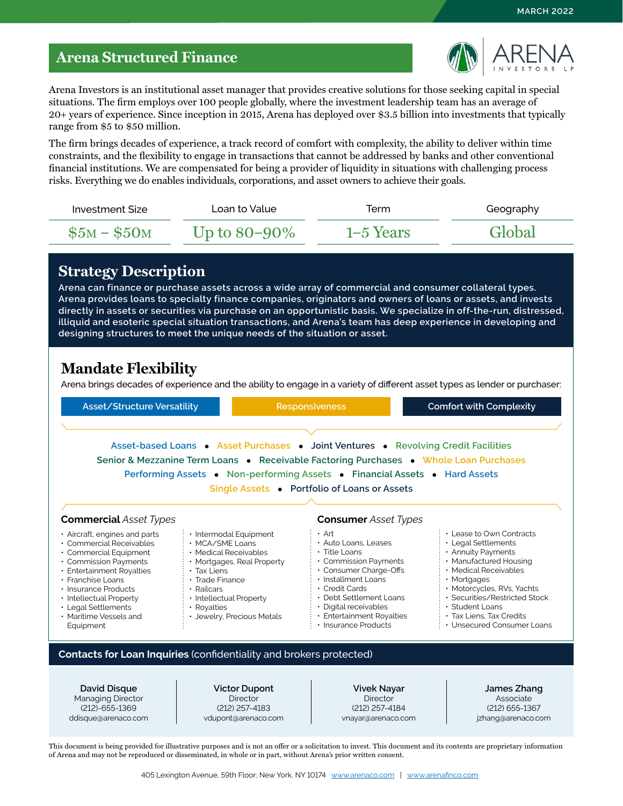## **Arena Structured Finance**



Arena Investors is an institutional asset manager that provides creative solutions for those seeking capital in special situations. The firm employs over 100 people globally, where the investment leadership team has an average of 20+ years of experience. Since inception in 2015, Arena has deployed over \$3.5 billion into investments that typically range from \$5 to \$50 million.

The firm brings decades of experience, a track record of comfort with complexity, the ability to deliver within time constraints, and the flexibility to engage in transactions that cannot be addressed by banks and other conventional financial institutions. We are compensated for being a provider of liquidity in situations with challenging process risks. Everything we do enables individuals, corporations, and asset owners to achieve their goals.

| Investment Size | Loan to Value     | Term        | Geography |
|-----------------|-------------------|-------------|-----------|
| $$5M - $50M$$   | Up to $80 - 90\%$ | $1-5$ Years | Global    |

#### **Strategy Description**

**Arena can finance or purchase assets across a wide array of commercial and consumer collateral types. Arena provides loans to specialty finance companies, originators and owners of loans or assets, and invests directly in assets or securities via purchase on an opportunistic basis. We specialize in off-the-run, distressed, illiquid and esoteric special situation transactions, and Arena's team has deep experience in developing and designing structures to meet the unique needs of the situation or asset.**

#### **Mandate Flexibility**

Arena brings decades of experience and the ability to engage in a variety of different asset types as lender or purchaser:

| Asset/Structure Versatility                                                                                                                                                                                                                                                           |                                                                                                                                                                                                                                                           | <b>Responsiveness</b>                                                                                                                                                                                                                                           | <b>Comfort with Complexity</b>                                                                                                                                                                                                                                                            |
|---------------------------------------------------------------------------------------------------------------------------------------------------------------------------------------------------------------------------------------------------------------------------------------|-----------------------------------------------------------------------------------------------------------------------------------------------------------------------------------------------------------------------------------------------------------|-----------------------------------------------------------------------------------------------------------------------------------------------------------------------------------------------------------------------------------------------------------------|-------------------------------------------------------------------------------------------------------------------------------------------------------------------------------------------------------------------------------------------------------------------------------------------|
|                                                                                                                                                                                                                                                                                       | Asset-based Loans • Asset Purchases • Joint Ventures • Revolving Credit Facilities<br>Senior & Mezzanine Term Loans • Receivable Factoring Purchases • Whole Loan Purchases<br>Performing Assets • Non-performing Assets • Financial Assets • Hard Assets | Single Assets • Portfolio of Loans or Assets                                                                                                                                                                                                                    |                                                                                                                                                                                                                                                                                           |
| <b>Commercial Asset Types</b>                                                                                                                                                                                                                                                         |                                                                                                                                                                                                                                                           | <b>Consumer</b> Asset Types                                                                                                                                                                                                                                     |                                                                                                                                                                                                                                                                                           |
| $\cdot$ Aircraft, engines and parts<br>• Commercial Receivables<br>• Commercial Equipment<br>• Commission Payments<br>· Entertainment Royalties<br>• Franchise Loans<br>· Insurance Products<br>• Intellectual Property<br>• Legal Settlements<br>• Maritime Vessels and<br>Equipment | · Intermodal Equipment<br>• MCA/SME Loans<br>• Medical Receivables<br>• Mortgages, Real Property<br>$\cdot$ Tax Liens<br>$\cdot$ Trade Finance<br>· Railcars<br>· Intellectual Property<br>• Royalties<br>· Jewelry, Precious Metals                      | $\cdot$ Art<br>· Auto Loans, Leases<br>$\cdot$ Title Loans<br>• Commission Payments<br>• Consumer Charge-Offs<br>· Installment Loans<br>· Credit Cards<br>• Debt Settlement Loans<br>· Digital receivables<br>· Entertainment Royalties<br>· Insurance Products | • Lease to Own Contracts<br>• Legal Settlements<br>• Annuity Payments<br>• Manufactured Housing<br>· Medical Receivables<br>$\cdot$ Mortgages<br>· Motorcycles, RVs, Yachts<br>· Securities/Restricted Stock<br>· Student Loans<br>• Tax Liens, Tax Credits<br>• Unsecured Consumer Loans |
|                                                                                                                                                                                                                                                                                       | Contacts for Loan Inquiries (confidentiality and brokers protected)                                                                                                                                                                                       |                                                                                                                                                                                                                                                                 |                                                                                                                                                                                                                                                                                           |
| David Disque<br><b>Managing Director</b><br>$(212) - 655 - 1369$<br>ddisque@arenaco.com                                                                                                                                                                                               | <b>Victor Dupont</b><br><b>Director</b><br>$(212)$ 257-4183<br>vdupont@arenaco.com                                                                                                                                                                        | <b>Vivek Nayar</b><br><b>Director</b><br>(212) 257-4184<br>vnayar@arenaco.com                                                                                                                                                                                   | James Zhang<br>Associate<br>(212) 655-1367<br>jzhang@arenaco.com                                                                                                                                                                                                                          |
|                                                                                                                                                                                                                                                                                       |                                                                                                                                                                                                                                                           |                                                                                                                                                                                                                                                                 | This document is being provided for illustrative purposes and is not an offer or a solicitation to invest. This document and its contents are proprietary information                                                                                                                     |

405 Lexington Avenue, 59th Floor; New York, NY 10174 [www.arenaco.com](http://www.arenaco.com) | [www.arenafinco.com](http://www.arenafinco.com)

of Arena and may not be reproduced or disseminated, in whole or in part, without Arena's prior written consent.